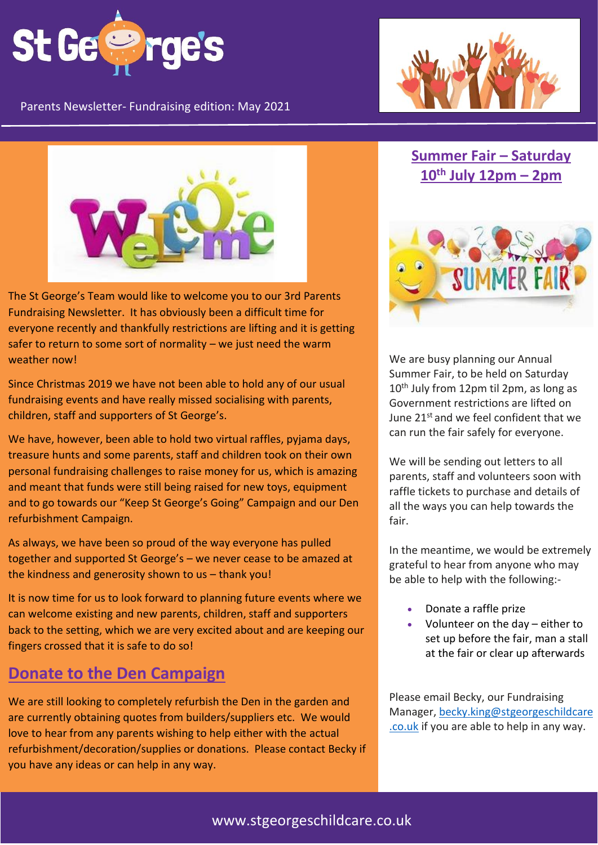

Parents Newsletter- Fundraising edition: May 2021





The St George's Team would like to welcome you to our 3rd Parents Fundraising Newsletter. It has obviously been a difficult time for everyone recently and thankfully restrictions are lifting and it is getting safer to return to some sort of normality – we just need the warm weather now!

Since Christmas 2019 we have not been able to hold any of our usual fundraising events and have really missed socialising with parents, children, staff and supporters of St George's.

We have, however, been able to hold two virtual raffles, pyjama days, treasure hunts and some parents, staff and children took on their own personal fundraising challenges to raise money for us, which is amazing and meant that funds were still being raised for new toys, equipment and to go towards our "Keep St George's Going" Campaign and our Den refurbishment Campaign.

As always, we have been so proud of the way everyone has pulled together and supported St George's – we never cease to be amazed at the kindness and generosity shown to us – thank you!

It is now time for us to look forward to planning future events where we can welcome existing and new parents, children, staff and supporters back to the setting, which we are very excited about and are keeping our fingers crossed that it is safe to do so!

#### **Donate to the Den Campaign**

We are still looking to completely refurbish the Den in the garden and are currently obtaining quotes from builders/suppliers etc. We would love to hear from any parents wishing to help either with the actual refurbishment/decoration/supplies or donations. Please contact Becky if you have any ideas or can help in any way.

#### **Summer Fair – Saturday 10th July 12pm – 2pm**



We are busy planning our Annual Summer Fair, to be held on Saturday 10<sup>th</sup> July from 12pm til 2pm, as long as Government restrictions are lifted on June 21st and we feel confident that we can run the fair safely for everyone.

We will be sending out letters to all parents, staff and volunteers soon with raffle tickets to purchase and details of all the ways you can help towards the fair.

In the meantime, we would be extremely grateful to hear from anyone who may be able to help with the following:-

- Donate a raffle prize
- Volunteer on the day either to set up before the fair, man a stall at the fair or clear up afterwards

Please email Becky, our Fundraising Manager, [becky.king@stgeorgeschildcare](mailto:becky.king@stgeorgeschildcare.co.uk) [.co.uk](mailto:becky.king@stgeorgeschildcare.co.uk) if you are able to help in any way.